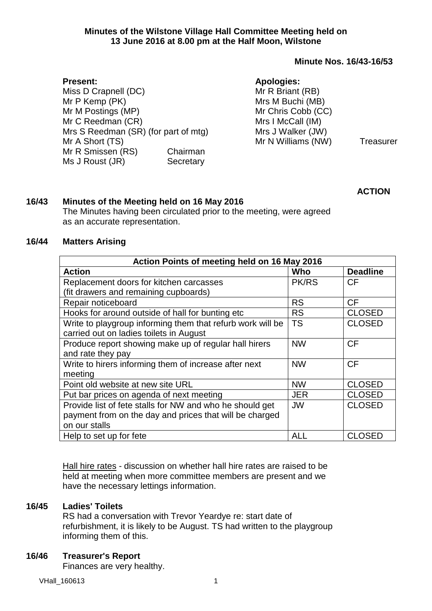## **Minute Nos. 16/43-16/53**

| <b>Present:</b>                      |           | <b>Apologies:</b>  |           |
|--------------------------------------|-----------|--------------------|-----------|
| Miss D Crapnell (DC)                 |           | Mr R Briant (RB)   |           |
| Mr P Kemp (PK)                       |           | Mrs M Buchi (MB)   |           |
| Mr M Postings (MP)                   |           | Mr Chris Cobb (CC) |           |
| Mr C Reedman (CR)                    |           | Mrs I McCall (IM)  |           |
| Mrs S Reedman (SR) (for part of mtg) |           | Mrs J Walker (JW)  |           |
| Mr A Short (TS)                      |           | Mr N Williams (NW) | Treasurer |
| Mr R Smissen (RS)                    | Chairman  |                    |           |
| Ms J Roust (JR)                      | Secretary |                    |           |

**ACTION**

# **16/43 Minutes of the Meeting held on 16 May 2016**

The Minutes having been circulated prior to the meeting, were agreed as an accurate representation.

## **16/44 Matters Arising**

| Action Points of meeting held on 16 May 2016               |              |                 |  |  |
|------------------------------------------------------------|--------------|-----------------|--|--|
| <b>Action</b>                                              | Who          | <b>Deadline</b> |  |  |
| Replacement doors for kitchen carcasses                    | <b>PK/RS</b> | СF              |  |  |
| (fit drawers and remaining cupboards)                      |              |                 |  |  |
| Repair noticeboard                                         | <b>RS</b>    | CF              |  |  |
| Hooks for around outside of hall for bunting etc           | <b>RS</b>    | <b>CLOSED</b>   |  |  |
| Write to playgroup informing them that refurb work will be | <b>TS</b>    | <b>CLOSED</b>   |  |  |
| carried out on ladies toilets in August                    |              |                 |  |  |
| Produce report showing make up of regular hall hirers      | <b>NW</b>    | CF              |  |  |
| and rate they pay                                          |              |                 |  |  |
| Write to hirers informing them of increase after next      | <b>NW</b>    | CF              |  |  |
| meeting                                                    |              |                 |  |  |
| Point old website at new site URL                          | <b>NW</b>    | <b>CLOSED</b>   |  |  |
| Put bar prices on agenda of next meeting                   | <b>JER</b>   | <b>CLOSED</b>   |  |  |
| Provide list of fete stalls for NW and who he should get   | <b>JW</b>    | <b>CLOSED</b>   |  |  |
| payment from on the day and prices that will be charged    |              |                 |  |  |
| on our stalls                                              |              |                 |  |  |
| Help to set up for fete                                    | <b>ALL</b>   | <b>CLOSED</b>   |  |  |

Hall hire rates - discussion on whether hall hire rates are raised to be held at meeting when more committee members are present and we have the necessary lettings information.

# **16/45 Ladies' Toilets**

RS had a conversation with Trevor Yeardye re: start date of refurbishment, it is likely to be August. TS had written to the playgroup informing them of this.

## **16/46 Treasurer's Report**

Finances are very healthy.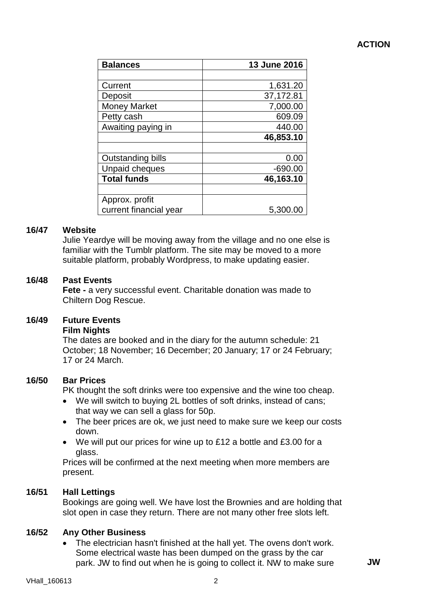# **ACTION**

| <b>Balances</b>        | 13 June 2016 |
|------------------------|--------------|
|                        |              |
| Current                | 1,631.20     |
| Deposit                | 37,172.81    |
| <b>Money Market</b>    | 7,000.00     |
| Petty cash             | 609.09       |
| Awaiting paying in     | 440.00       |
|                        | 46,853.10    |
|                        |              |
| Outstanding bills      | 0.00         |
| <b>Unpaid cheques</b>  | $-690.00$    |
| <b>Total funds</b>     | 46,163.10    |
|                        |              |
| Approx. profit         |              |
| current financial year | 5,300.00     |

#### **16/47 Website**

Julie Yeardye will be moving away from the village and no one else is familiar with the Tumblr platform. The site may be moved to a more suitable platform, probably Wordpress, to make updating easier.

#### **16/48 Past Events**

**Fete -** a very successful event. Charitable donation was made to Chiltern Dog Rescue.

## **16/49 Future Events**

#### **Film Nights**

The dates are booked and in the diary for the autumn schedule: 21 October; 18 November; 16 December; 20 January; 17 or 24 February; 17 or 24 March.

#### **16/50 Bar Prices**

PK thought the soft drinks were too expensive and the wine too cheap.

- We will switch to buying 2L bottles of soft drinks, instead of cans; that way we can sell a glass for 50p.
- The beer prices are ok, we just need to make sure we keep our costs down.
- We will put our prices for wine up to £12 a bottle and £3.00 for a glass.

Prices will be confirmed at the next meeting when more members are present.

## **16/51 Hall Lettings**

Bookings are going well. We have lost the Brownies and are holding that slot open in case they return. There are not many other free slots left.

## **16/52 Any Other Business**

• The electrician hasn't finished at the hall yet. The ovens don't work. Some electrical waste has been dumped on the grass by the car park. JW to find out when he is going to collect it. NW to make sure **JW**